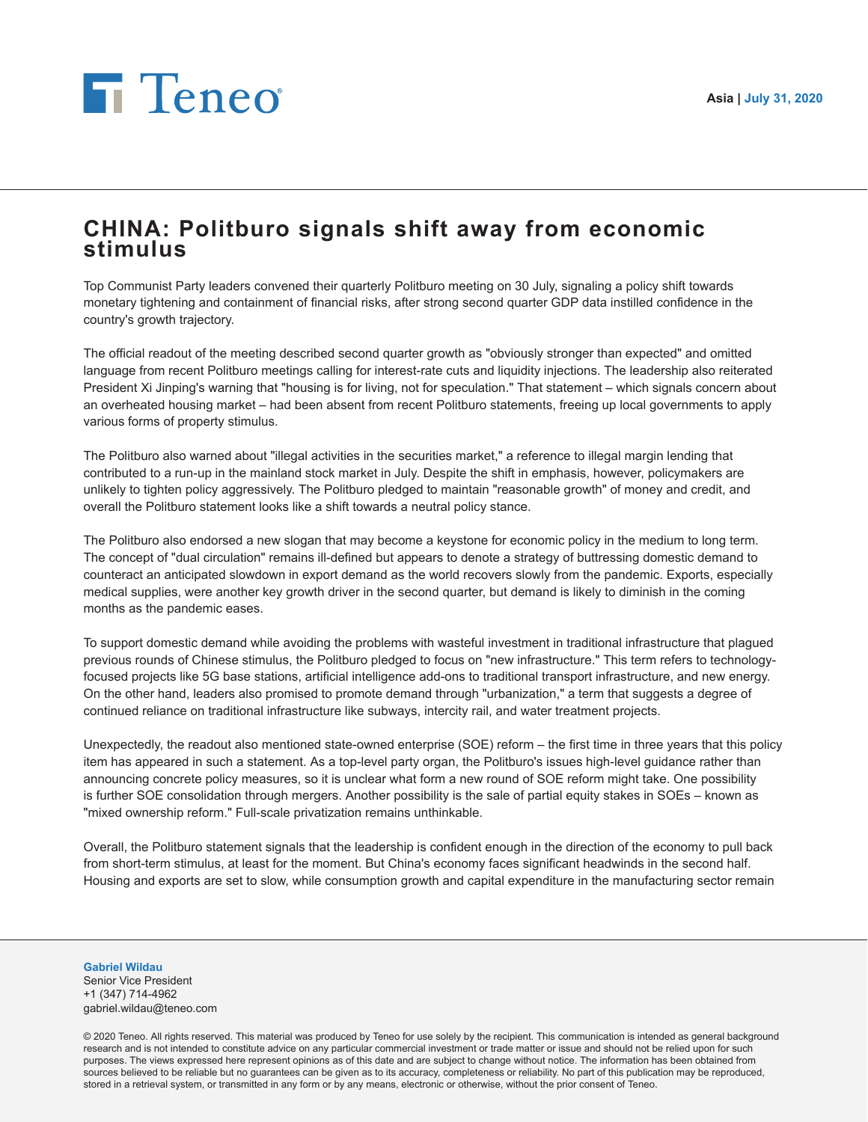## **Fi** Teneo

## **CHINA: Politburo signals shift away from economic stimulus**

Top Communist Party leaders convened their quarterly Politburo meeting on 30 July, signaling a policy shift towards monetary tightening and containment of financial risks, after strong second quarter GDP data instilled confidence in the country's growth trajectory.

The official readout of the meeting described second quarter growth as "obviously stronger than expected" and omitted language from recent Politburo meetings calling for interest-rate cuts and liquidity injections. The leadership also reiterated President Xi Jinping's warning that "housing is for living, not for speculation." That statement – which signals concern about an overheated housing market – had been absent from recent Politburo statements, freeing up local governments to apply various forms of property stimulus.

The Politburo also warned about "illegal activities in the securities market," a reference to illegal margin lending that contributed to a run-up in the mainland stock market in July. Despite the shift in emphasis, however, policymakers are unlikely to tighten policy aggressively. The Politburo pledged to maintain "reasonable growth" of money and credit, and overall the Politburo statement looks like a shift towards a neutral policy stance.

The Politburo also endorsed a new slogan that may become a keystone for economic policy in the medium to long term. The concept of "dual circulation" remains ill-defined but appears to denote a strategy of buttressing domestic demand to counteract an anticipated slowdown in export demand as the world recovers slowly from the pandemic. Exports, especially medical supplies, were another key growth driver in the second quarter, but demand is likely to diminish in the coming months as the pandemic eases.

To support domestic demand while avoiding the problems with wasteful investment in traditional infrastructure that plagued previous rounds of Chinese stimulus, the Politburo pledged to focus on "new infrastructure." This term refers to technologyfocused projects like 5G base stations, artificial intelligence add-ons to traditional transport infrastructure, and new energy. On the other hand, leaders also promised to promote demand through "urbanization," a term that suggests a degree of continued reliance on traditional infrastructure like subways, intercity rail, and water treatment projects.

Unexpectedly, the readout also mentioned state-owned enterprise (SOE) reform – the first time in three years that this policy item has appeared in such a statement. As a top-level party organ, the Politburo's issues high-level guidance rather than announcing concrete policy measures, so it is unclear what form a new round of SOE reform might take. One possibility is further SOE consolidation through mergers. Another possibility is the sale of partial equity stakes in SOEs – known as "mixed ownership reform." Full-scale privatization remains unthinkable.

Overall, the Politburo statement signals that the leadership is confident enough in the direction of the economy to pull back from short-term stimulus, at least for the moment. But China's economy faces significant headwinds in the second half. Housing and exports are set to slow, while consumption growth and capital expenditure in the manufacturing sector remain

## **Gabriel Wildau**

Senior Vice President +1 (347) 714-4962 gabriel.wildau@teneo.com

© 2020 Teneo. All rights reserved. This material was produced by Teneo for use solely by the recipient. This communication is intended as general background research and is not intended to constitute advice on any particular commercial investment or trade matter or issue and should not be relied upon for such purposes. The views expressed here represent opinions as of this date and are subject to change without notice. The information has been obtained from sources believed to be reliable but no guarantees can be given as to its accuracy, completeness or reliability. No part of this publication may be reproduced, stored in a retrieval system, or transmitted in any form or by any means, electronic or otherwise, without the prior consent of Teneo.